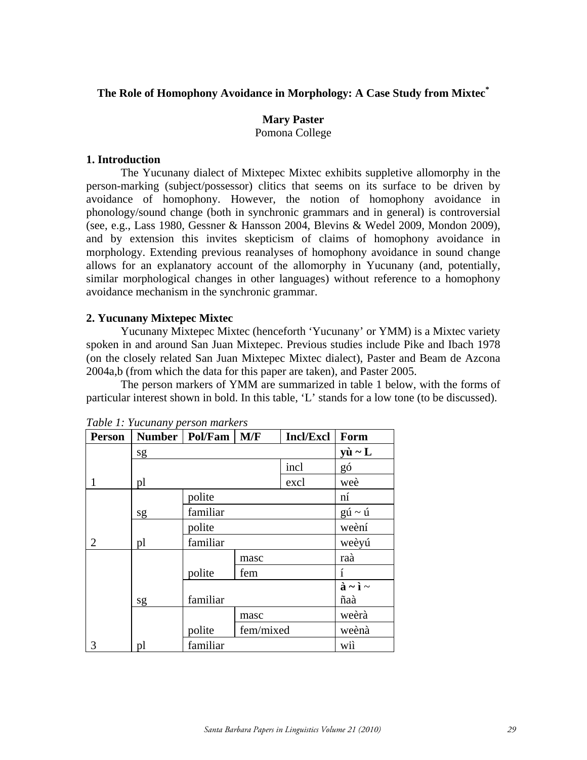# **The Role of Homophony Avoidance in Morphology: A Case Study from Mixtec\***

# **Mary Paster**  Pomona College

# **1. Introduction**

The Yucunany dialect of Mixtepec Mixtec exhibits suppletive allomorphy in the person-marking (subject/possessor) clitics that seems on its surface to be driven by avoidance of homophony. However, the notion of homophony avoidance in phonology/sound change (both in synchronic grammars and in general) is controversial (see, e.g., Lass 1980, Gessner & Hansson 2004, Blevins & Wedel 2009, Mondon 2009), and by extension this invites skepticism of claims of homophony avoidance in morphology. Extending previous reanalyses of homophony avoidance in sound change allows for an explanatory account of the allomorphy in Yucunany (and, potentially, similar morphological changes in other languages) without reference to a homophony avoidance mechanism in the synchronic grammar.

# **2. Yucunany Mixtepec Mixtec**

 Yucunany Mixtepec Mixtec (henceforth 'Yucunany' or YMM) is a Mixtec variety spoken in and around San Juan Mixtepec. Previous studies include Pike and Ibach 1978 (on the closely related San Juan Mixtepec Mixtec dialect), Paster and Beam de Azcona 2004a,b (from which the data for this paper are taken), and Paster 2005.

 The person markers of YMM are summarized in table 1 below, with the forms of particular interest shown in bold. In this table, 'L' stands for a low tone (to be discussed).

| <b>Person</b> |    | Number   Pol/Fam            | M/F  | <b>Incl/Excl</b> | Form                            |
|---------------|----|-----------------------------|------|------------------|---------------------------------|
|               | sg |                             |      |                  | $y\grave{u} \sim L$             |
|               |    |                             |      | incl             | gó                              |
| 1             | pl |                             |      | excl             | weè                             |
|               |    | polite                      |      |                  | n1                              |
|               | sg | familiar                    |      |                  | $g\acute{u} \sim \acute{u}$     |
|               |    | polite                      |      | weèní            |                                 |
| 2             | pl | familiar                    |      |                  | weèyú                           |
|               |    |                             | masc |                  | raà                             |
|               |    | polite                      | fem  |                  | í                               |
|               |    |                             |      |                  | $\grave{a} \sim \grave{a} \sim$ |
|               | sg | familiar                    |      |                  | ñaà                             |
|               |    | masc<br>fem/mixed<br>polite |      | weèrà            |                                 |
|               |    |                             |      |                  | weènà                           |
| 3             | pl | familiar                    |      |                  | wii                             |

*Table 1: Yucunany person markers*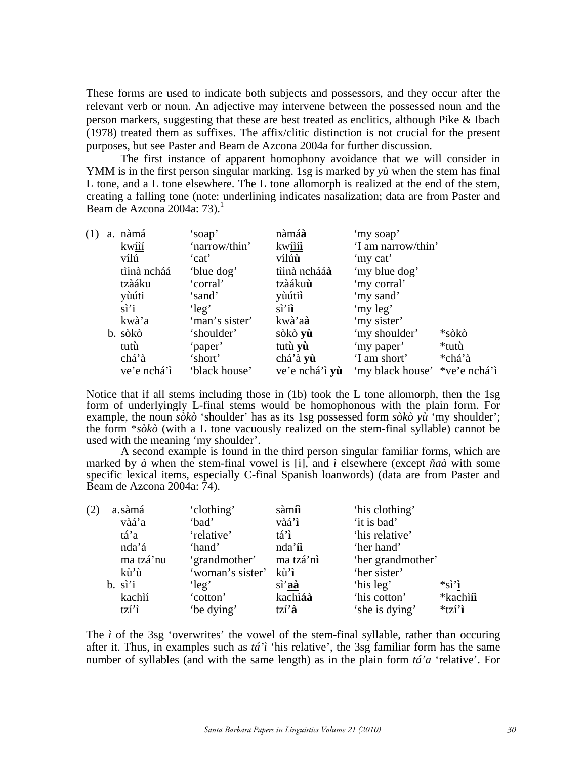These forms are used to indicate both subjects and possessors, and they occur after the relevant verb or noun. An adjective may intervene between the possessed noun and the person markers, suggesting that these are best treated as enclitics, although Pike & Ibach (1978) treated them as suffixes. The affix/clitic distinction is not crucial for the present purposes, but see Paster and Beam de Azcona 2004a for further discussion.

The first instance of apparent homophony avoidance that we will consider in YMM is in the first person singular marking. 1sg is marked by *yù* when the stem has final L tone, and a L tone elsewhere. The L tone allomorph is realized at the end of the stem, creating a falling tone (note: underlining indicates nasalization; data are from Paster and Beam de Azcona 2004a:  $73$ ).<sup>1</sup>

| (1) | a. nàmá                  | 'soap'         | nàmáà                              | 'my soap'                     |        |
|-----|--------------------------|----------------|------------------------------------|-------------------------------|--------|
|     | kwîií                    | 'narrow/thin'  | kw <u>îîî</u> î                    | 'I am narrow/thin'            |        |
|     | vílú                     | 'cat'          | vílúù                              | 'my cat'                      |        |
|     | tìinà ncháá              | 'blue dog'     | tìinà nchááà                       | 'my blue dog'                 |        |
|     | tzàáku                   | 'corral'       | tzàáku <b>ù</b>                    | 'my corral'                   |        |
|     | yùúti                    | 'sand'         | yùútii                             | 'my sand'                     |        |
|     | $\vec{a}$ <sup>'</sup> i | 'leg'          | $\vec{sl'}\underline{\mathbf{il}}$ | 'my leg'                      |        |
|     | kwà'a                    | 'man's sister' | kwà'a <b>à</b>                     | 'my sister'                   |        |
|     | b. sòkò                  | 'shoulder'     | sòkò <b>yù</b>                     | 'my shoulder'                 | *sòkò  |
|     | tutù                     | 'paper'        | tutù yù                            | 'my paper'                    | *tutù  |
|     | chá'à                    | 'short'        | chá'à yù                           | 'I am short'                  | *chá'à |
|     | ve'e nchá'í              | 'black house'  | ve'e nchá'ì yù                     | 'my black house' *ve'e nchá'ì |        |

Notice that if all stems including those in (1b) took the L tone allomorph, then the 1sg form of underlyingly L-final stems would be homophonous with the plain form. For example, the noun *sòkò* 'shoulder' has as its 1sg possessed form *sòkò yù* 'my shoulder'; the form \**sòkò* (with a L tone vacuously realized on the stem-final syllable) cannot be used with the meaning 'my shoulder'.

 A second example is found in the third person singular familiar forms, which are marked by  $\dot{a}$  when the stem-final vowel is [i], and  $\dot{i}$  elsewhere (except  $\tilde{n}a\dot{a}$  with some specific lexical items, especially C-final Spanish loanwords) (data are from Paster and Beam de Azcona 2004a: 74).

| (2) | a.sàmá              | 'clothing'            | sàm <b>î</b>                | 'his clothing'    |                                                               |
|-----|---------------------|-----------------------|-----------------------------|-------------------|---------------------------------------------------------------|
|     | vàá'a               | 'bad'                 | vàá'ì                       | 'it is bad'       |                                                               |
|     | tá'a                | 'relative'            | $t\hat{a}'\hat{\mathbf{l}}$ | 'his relative'    |                                                               |
|     | nda'á               | 'hand'                | $nda'\hat{\mathbf{l}}$      | 'her hand'        |                                                               |
|     | ma tzá'nu           | 'grandmother'         | ma tzá'nì                   | 'her grandmother' |                                                               |
|     | kù'ù                | 'woman's sister' kù'ì |                             | 'her sister'      |                                                               |
|     | $b. \quad \sin^3 i$ | 'leg'                 | sì'aà                       | 'his leg'         | $*_{\mathbf{S}\underline{\mathbf{i}}'\underline{\mathbf{i}}}$ |
|     | kachìí              | 'cotton'              | kachiáà                     | 'his cotton'      | *kachi <b>î</b>                                               |
|     | tzi'i               | 'be dying'            | $tzi$ <sup>2</sup> $a$      | 'she is dying'    | $*tzi'i$                                                      |

The  $\hat{i}$  of the 3sg 'overwrites' the vowel of the stem-final syllable, rather than occuring after it. Thus, in examples such as *tá'ì* 'his relative', the 3sg familiar form has the same number of syllables (and with the same length) as in the plain form *tá'a* 'relative'. For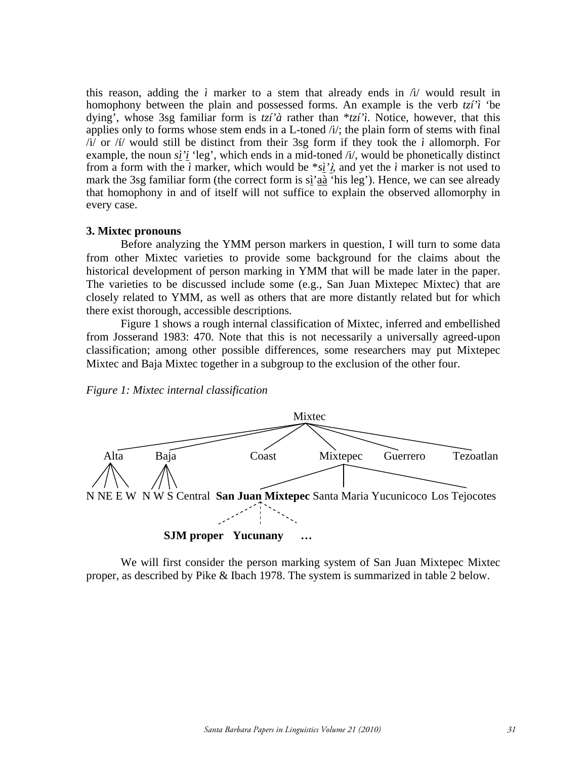this reason, adding the *ì* marker to a stem that already ends in  $\hat{I}$  would result in homophony between the plain and possessed forms. An example is the verb *tzí'ì* 'be dying', whose 3sg familiar form is *tzí'à* rather than \**tzí'ì*. Notice, however, that this applies only to forms whose stem ends in a L-toned  $\pi/$ ; the plain form of stems with final /i/ or /í/ would still be distinct from their 3sg form if they took the *ì* allomorph. For example, the noun *sì'i* 'leg', which ends in a mid-toned /i/, would be phonetically distinct from a form with the *i* marker, which would be  $*_{s}i'$ *i*, and yet the *i* marker is not used to mark the 3sg familiar form (the correct form is sì'aà 'his leg'). Hence, we can see already that homophony in and of itself will not suffice to explain the observed allomorphy in every case.

### **3. Mixtec pronouns**

 Before analyzing the YMM person markers in question, I will turn to some data from other Mixtec varieties to provide some background for the claims about the historical development of person marking in YMM that will be made later in the paper. The varieties to be discussed include some (e.g., San Juan Mixtepec Mixtec) that are closely related to YMM, as well as others that are more distantly related but for which there exist thorough, accessible descriptions.

 Figure 1 shows a rough internal classification of Mixtec, inferred and embellished from Josserand 1983: 470. Note that this is not necessarily a universally agreed-upon classification; among other possible differences, some researchers may put Mixtepec Mixtec and Baja Mixtec together in a subgroup to the exclusion of the other four.





We will first consider the person marking system of San Juan Mixtepec Mixtec proper, as described by Pike & Ibach 1978. The system is summarized in table 2 below.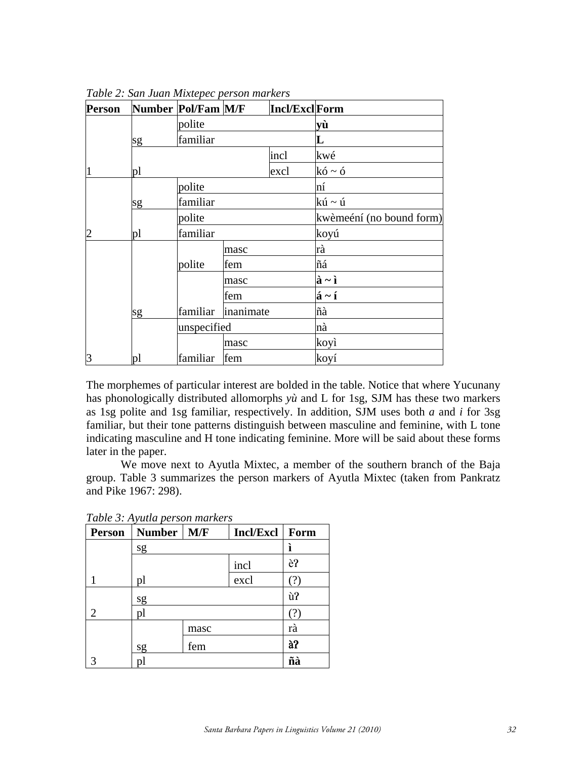| <b>Person</b> |    | Number Pol/Fam M/F |             | Incl/ExclForm |                            |
|---------------|----|--------------------|-------------|---------------|----------------------------|
|               |    | polite             |             |               | yù                         |
|               | sg | familiar           |             |               | L                          |
|               |    |                    |             | incl          | kwé                        |
| 1             | pl |                    |             | excl          | $k6 \sim 6$                |
|               |    | polite             |             |               | ní                         |
|               | sg | familiar           |             |               | kú ~ ú                     |
|               |    | polite             |             |               | kwèmeéní (no bound form)   |
| 2             | pl | familiar           |             |               | koyú                       |
|               |    |                    | masc        |               | rà                         |
|               |    | polite             | fem         |               | ñá                         |
|               |    |                    | masc        |               | $\hat{a} \sim \hat{I}$     |
|               |    |                    | fem         |               | $\acute{a} \sim \acute{1}$ |
|               | sg | familiar           | inanimate   |               | ñà                         |
|               |    |                    | unspecified |               | nà                         |
|               |    |                    | masc        |               | koyì                       |
| 3             | pl | familiar           | fem         |               | koyí                       |

*Table 2: San Juan Mixtepec person markers*

The morphemes of particular interest are bolded in the table. Notice that where Yucunany has phonologically distributed allomorphs *yù* and L for 1sg, SJM has these two markers as 1sg polite and 1sg familiar, respectively. In addition, SJM uses both *a* and *i* for 3sg familiar, but their tone patterns distinguish between masculine and feminine, with L tone indicating masculine and H tone indicating feminine. More will be said about these forms later in the paper.

 We move next to Ayutla Mixtec, a member of the southern branch of the Baja group. Table 3 summarizes the person markers of Ayutla Mixtec (taken from Pankratz and Pike 1967: 298).

| <b>Person</b>          | Number   M/F |      | Incl/Excl | Form |
|------------------------|--------------|------|-----------|------|
|                        | sg           |      |           | ì    |
|                        |              |      | incl      | è?   |
|                        | pl           |      | excl      | (?)  |
|                        | sg           |      |           | ù?   |
| $\mathfrak{D}_{\cdot}$ | pl           |      |           | (?)  |
|                        |              | masc |           | rà   |
|                        | sg           | fem  |           | à?   |
|                        | pl           |      |           | ñà   |

*Table 3: Ayutla person markers*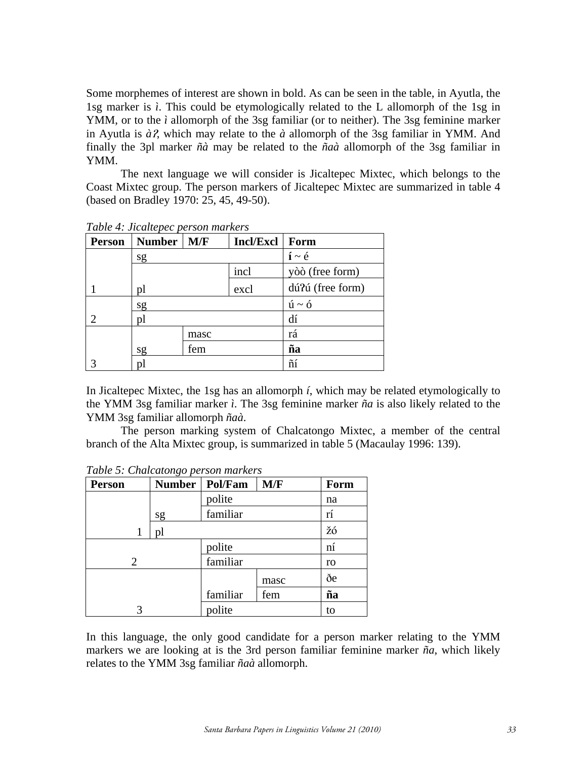Some morphemes of interest are shown in bold. As can be seen in the table, in Ayutla, the 1sg marker is *ì*. This could be etymologically related to the L allomorph of the 1sg in YMM, or to the *ì* allomorph of the 3sg familiar (or to neither). The 3sg feminine marker in Ayutla is  $\partial \Omega$ , which may relate to the  $\partial \Omega$  allomorph of the 3sg familiar in YMM. And finally the 3pl marker *ñà* may be related to the *ñaà* allomorph of the 3sg familiar in YMM.

 The next language we will consider is Jicaltepec Mixtec, which belongs to the Coast Mixtec group. The person markers of Jicaltepec Mixtec are summarized in table 4 (based on Bradley 1970: 25, 45, 49-50).

| <b>Person</b>  | <b>Number</b> | M/F  | <b>Incl/Excl</b> | Form                         |
|----------------|---------------|------|------------------|------------------------------|
|                | sg            |      |                  | $\mathbf{i} \sim \mathbf{e}$ |
|                |               |      | incl             | yòò (free form)              |
|                | pl            |      | excl             | dú?ú (free form)             |
|                | sg            |      |                  | $\acute{u} \sim \acute{0}$   |
| $\overline{c}$ | pl            |      |                  | dí                           |
|                |               | masc |                  | rá                           |
|                | sg            | fem  |                  | ña                           |
|                | рl            |      |                  | ñí                           |

*Table 4: Jicaltepec person markers* 

In Jicaltepec Mixtec, the 1sg has an allomorph *í*, which may be related etymologically to the YMM 3sg familiar marker *ì*. The 3sg feminine marker *ña* is also likely related to the YMM 3sg familiar allomorph *ñaà*.

 The person marking system of Chalcatongo Mixtec, a member of the central branch of the Alta Mixtec group, is summarized in table 5 (Macaulay 1996: 139).

| <b>Person</b> | <b>Number</b> | Pol/Fam  | M/F  | Form |
|---------------|---------------|----------|------|------|
|               |               | polite   |      | na   |
|               | sg            | familiar |      | rí   |
| 1             | pl            |          |      | žó   |
|               |               | polite   |      | ní   |
| 2             |               | familiar |      | ro   |
|               |               |          | masc | ðe   |
|               |               | familiar | fem  | ña   |
| 3             |               | polite   |      | to   |

*Table 5: Chalcatongo person markers* 

In this language, the only good candidate for a person marker relating to the YMM markers we are looking at is the 3rd person familiar feminine marker *ña*, which likely relates to the YMM 3sg familiar *ñaà* allomorph.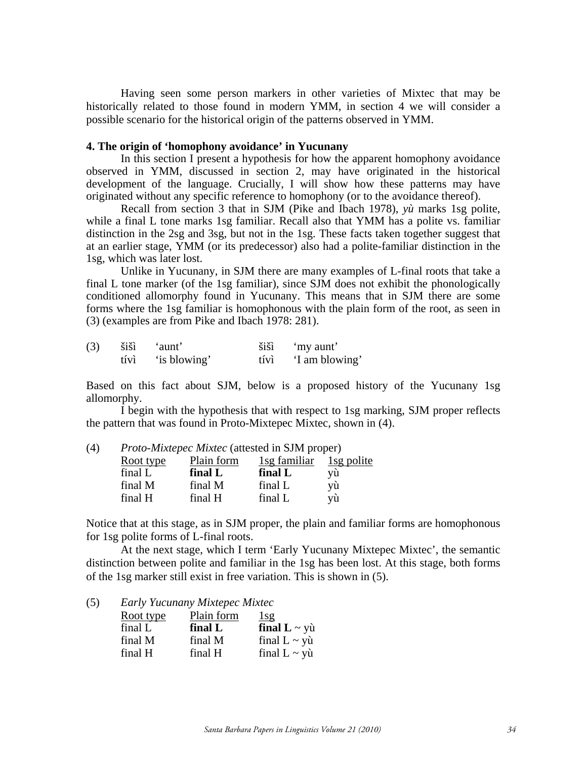Having seen some person markers in other varieties of Mixtec that may be historically related to those found in modern YMM, in section 4 we will consider a possible scenario for the historical origin of the patterns observed in YMM.

#### **4. The origin of 'homophony avoidance' in Yucunany**

 In this section I present a hypothesis for how the apparent homophony avoidance observed in YMM, discussed in section 2, may have originated in the historical development of the language. Crucially, I will show how these patterns may have originated without any specific reference to homophony (or to the avoidance thereof).

 Recall from section 3 that in SJM (Pike and Ibach 1978), *yù* marks 1sg polite, while a final L tone marks 1sg familiar. Recall also that YMM has a polite vs. familiar distinction in the 2sg and 3sg, but not in the 1sg. These facts taken together suggest that at an earlier stage, YMM (or its predecessor) also had a polite-familiar distinction in the 1sg, which was later lost.

 Unlike in Yucunany, in SJM there are many examples of L-final roots that take a final L tone marker (of the 1sg familiar), since SJM does not exhibit the phonologically conditioned allomorphy found in Yucunany. This means that in SJM there are some forms where the 1sg familiar is homophonous with the plain form of the root, as seen in (3) (examples are from Pike and Ibach 1978: 281).

| (3) | šišì | 'aunt'       | šišì | 'my aunt'      |
|-----|------|--------------|------|----------------|
|     | tívì | 'is blowing' | tívì | 'I am blowing' |

Based on this fact about SJM, below is a proposed history of the Yucunany 1sg allomorphy.

I begin with the hypothesis that with respect to 1sg marking, SJM proper reflects the pattern that was found in Proto-Mixtepec Mixtec, shown in (4).

| (4) | <i>Proto-Mixtepec Mixtec</i> (attested in SJM proper) |            |              |            |  |
|-----|-------------------------------------------------------|------------|--------------|------------|--|
|     | Root type                                             | Plain form | 1sg familiar | 1sg polite |  |
|     | final L                                               | final L    | final L      | vù         |  |
|     | final M                                               | final M    | final L      | yù         |  |
|     | final H                                               | final H    | final L      | vù         |  |
|     |                                                       |            |              |            |  |

Notice that at this stage, as in SJM proper, the plain and familiar forms are homophonous for 1sg polite forms of L-final roots.

At the next stage, which I term 'Early Yucunany Mixtepec Mixtec', the semantic distinction between polite and familiar in the 1sg has been lost. At this stage, both forms of the 1sg marker still exist in free variation. This is shown in (5).

(5) *Early Yucunany Mixtepec Mixtec*

| Root type | Plain form | $\frac{1}{9}$           |
|-----------|------------|-------------------------|
| final L   | final L    | final $L \sim y\$ u     |
| final M   | final M    | final $L \sim y\hat{u}$ |
| final H   | final H    | final $L \sim y\$       |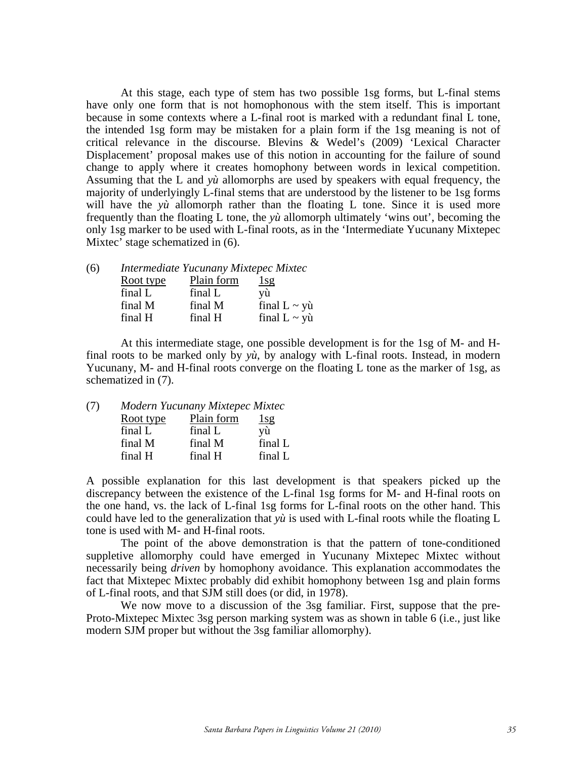At this stage, each type of stem has two possible 1sg forms, but L-final stems have only one form that is not homophonous with the stem itself. This is important because in some contexts where a L-final root is marked with a redundant final L tone, the intended 1sg form may be mistaken for a plain form if the 1sg meaning is not of critical relevance in the discourse. Blevins & Wedel's (2009) 'Lexical Character Displacement' proposal makes use of this notion in accounting for the failure of sound change to apply where it creates homophony between words in lexical competition. Assuming that the L and *yù* allomorphs are used by speakers with equal frequency, the majority of underlyingly L-final stems that are understood by the listener to be 1sg forms will have the *yù* allomorph rather than the floating L tone. Since it is used more frequently than the floating L tone, the *yù* allomorph ultimately 'wins out', becoming the only 1sg marker to be used with L-final roots, as in the 'Intermediate Yucunany Mixtepec Mixtec' stage schematized in (6).

| (6) |           | Intermediate Yucunany Mixtepec Mixtec |                   |
|-----|-----------|---------------------------------------|-------------------|
|     | Root type | Plain form                            | $\frac{1}{9}$     |
|     | final L   | final L                               | vù                |
|     | final M   | final M                               | final $L \sim y\$ |
|     | final H   | final H                               | final $L \sim y\$ |

At this intermediate stage, one possible development is for the 1sg of M- and Hfinal roots to be marked only by *yù*, by analogy with L-final roots. Instead, in modern Yucunany, M- and H-final roots converge on the floating L tone as the marker of 1sg, as schematized in (7).

| (7) | Modern Yucunany Mixtepec Mixtec |            |         |  |
|-----|---------------------------------|------------|---------|--|
|     | Root type                       | Plain form | 1sg     |  |
|     | final L                         | final L    | vù      |  |
|     | final M                         | final M    | final L |  |
|     | final H                         | final H    | final L |  |

A possible explanation for this last development is that speakers picked up the discrepancy between the existence of the L-final 1sg forms for M- and H-final roots on the one hand, vs. the lack of L-final 1sg forms for L-final roots on the other hand. This could have led to the generalization that *yù* is used with L-final roots while the floating L tone is used with M- and H-final roots.

The point of the above demonstration is that the pattern of tone-conditioned suppletive allomorphy could have emerged in Yucunany Mixtepec Mixtec without necessarily being *driven* by homophony avoidance. This explanation accommodates the fact that Mixtepec Mixtec probably did exhibit homophony between 1sg and plain forms of L-final roots, and that SJM still does (or did, in 1978).

We now move to a discussion of the 3sg familiar. First, suppose that the pre-Proto-Mixtepec Mixtec 3sg person marking system was as shown in table 6 (i.e., just like modern SJM proper but without the 3sg familiar allomorphy).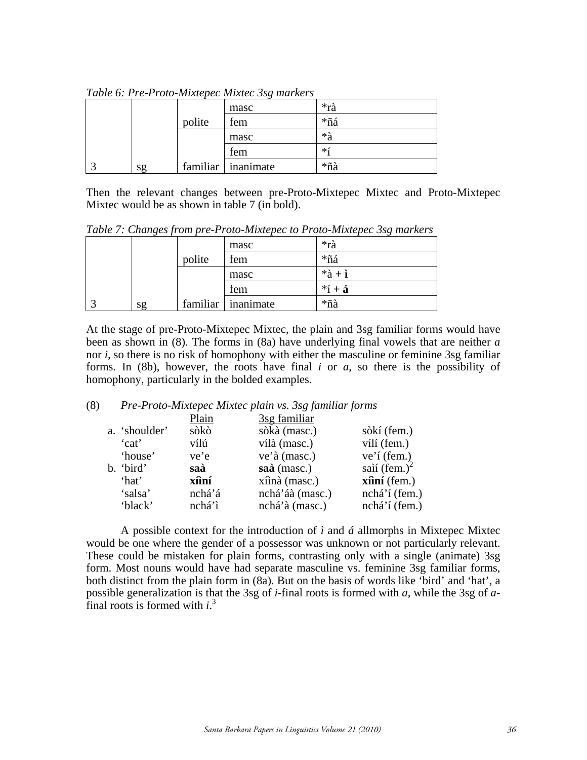|    |        | masc               | *rà  |
|----|--------|--------------------|------|
|    | polite | fem                | *ñá  |
|    |        | masc               | *à   |
|    |        | fem                | $*1$ |
| sg |        | familiar inanimate | *ñà  |

*Table 6: Pre-Proto-Mixtepec Mixtec 3sg markers*

Then the relevant changes between pre-Proto-Mixtepec Mixtec and Proto-Mixtepec Mixtec would be as shown in table 7 (in bold).

|  |    |        | masc                 | *rà            |  |
|--|----|--------|----------------------|----------------|--|
|  |    | polite | fem                  | *ñá            |  |
|  |    |        | masc                 | $*\hat{a} + i$ |  |
|  |    |        | fem                  | $*$ í + á      |  |
|  | sg |        | familiar   inanimate | *ñà            |  |

*Table 7: Changes from pre-Proto-Mixtepec to Proto-Mixtepec 3sg markers*

At the stage of pre-Proto-Mixtepec Mixtec, the plain and 3sg familiar forms would have been as shown in (8). The forms in (8a) have underlying final vowels that are neither *a* nor *i*, so there is no risk of homophony with either the masculine or feminine 3sg familiar forms. In (8b), however, the roots have final *i* or *a*, so there is the possibility of homophony, particularly in the bolded examples.

### (8) *Pre-Proto-Mixtepec Mixtec plain vs. 3sg familiar forms*

| sòkí (fem.)                   |
|-------------------------------|
| vílí (fem.)                   |
| $ve'$ í (fem.)                |
| saìí $(fem.)^2$               |
| $x\hat{\mathbf{n}}$ ní (fem.) |
| nchá'í (fem.)                 |
| nchá'í (fem.)                 |
|                               |

A possible context for the introduction of  $\hat{i}$  and  $\hat{a}$  allmorphs in Mixtepec Mixtec would be one where the gender of a possessor was unknown or not particularly relevant. These could be mistaken for plain forms, contrasting only with a single (animate) 3sg form. Most nouns would have had separate masculine vs. feminine 3sg familiar forms, both distinct from the plain form in (8a). But on the basis of words like 'bird' and 'hat', a possible generalization is that the 3sg of *i*-final roots is formed with *a*, while the 3sg of *a*final roots is formed with *i*.<sup>3</sup>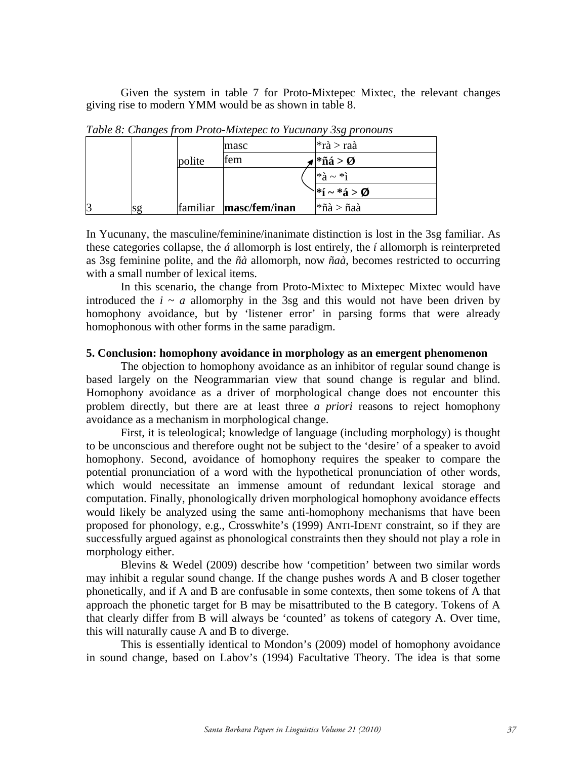Given the system in table 7 for Proto-Mixtepec Mixtec, the relevant changes giving rise to modern YMM would be as shown in table 8.

|                |    |          | masc          | $*\hat{\tau}$ à > raà     |
|----------------|----|----------|---------------|---------------------------|
|                |    | polite   | fem           | $*\ 4 > \emptyset$        |
|                |    |          |               | $*\hat{a} \sim *i$        |
|                |    |          |               | $\mathbf{a}^*$ í ~ *á > Ø |
| $\overline{3}$ | sg | familiar | masc/fem/inan | $*\ a\ $ naà              |

*Table 8: Changes from Proto-Mixtepec to Yucunany 3sg pronouns*

In Yucunany, the masculine/feminine/inanimate distinction is lost in the 3sg familiar. As these categories collapse, the *á* allomorph is lost entirely, the *í* allomorph is reinterpreted as 3sg feminine polite, and the *ñà* allomorph, now *ñaà*, becomes restricted to occurring with a small number of lexical items.

In this scenario, the change from Proto-Mixtec to Mixtepec Mixtec would have introduced the  $i \sim a$  allomorphy in the 3sg and this would not have been driven by homophony avoidance, but by 'listener error' in parsing forms that were already homophonous with other forms in the same paradigm.

### **5. Conclusion: homophony avoidance in morphology as an emergent phenomenon**

The objection to homophony avoidance as an inhibitor of regular sound change is based largely on the Neogrammarian view that sound change is regular and blind. Homophony avoidance as a driver of morphological change does not encounter this problem directly, but there are at least three *a priori* reasons to reject homophony avoidance as a mechanism in morphological change.

 First, it is teleological; knowledge of language (including morphology) is thought to be unconscious and therefore ought not be subject to the 'desire' of a speaker to avoid homophony. Second, avoidance of homophony requires the speaker to compare the potential pronunciation of a word with the hypothetical pronunciation of other words, which would necessitate an immense amount of redundant lexical storage and computation. Finally, phonologically driven morphological homophony avoidance effects would likely be analyzed using the same anti-homophony mechanisms that have been proposed for phonology, e.g., Crosswhite's (1999) ANTI-IDENT constraint, so if they are successfully argued against as phonological constraints then they should not play a role in morphology either.

Blevins & Wedel (2009) describe how 'competition' between two similar words may inhibit a regular sound change. If the change pushes words A and B closer together phonetically, and if A and B are confusable in some contexts, then some tokens of A that approach the phonetic target for B may be misattributed to the B category. Tokens of A that clearly differ from B will always be 'counted' as tokens of category A. Over time, this will naturally cause A and B to diverge.

This is essentially identical to Mondon's (2009) model of homophony avoidance in sound change, based on Labov's (1994) Facultative Theory. The idea is that some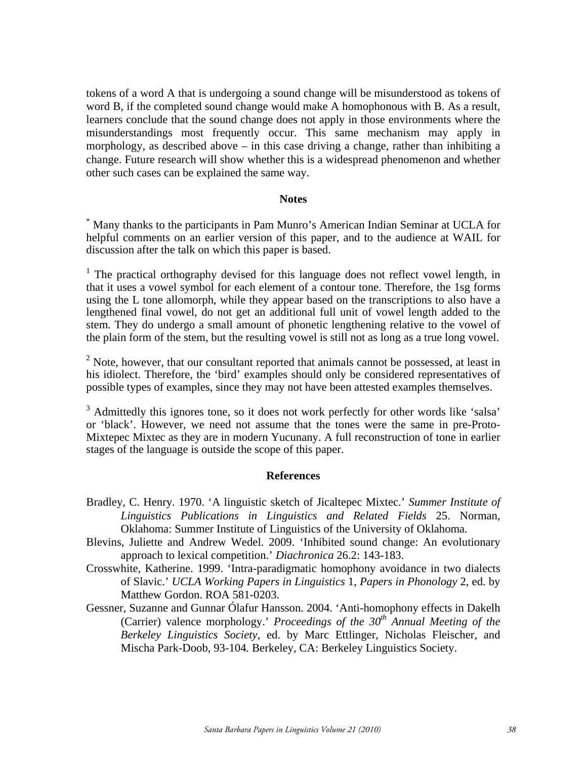tokens of a word A that is undergoing a sound change will be misunderstood as tokens of word B, if the completed sound change would make A homophonous with B. As a result, learners conclude that the sound change does not apply in those environments where the misunderstandings most frequently occur. This same mechanism may apply in morphology, as described above – in this case driving a change, rather than inhibiting a change. Future research will show whether this is a widespread phenomenon and whether other such cases can be explained the same way.

#### **Notes**

\* Many thanks to the participants in Pam Munro's American Indian Seminar at UCLA for helpful comments on an earlier version of this paper, and to the audience at WAIL for discussion after the talk on which this paper is based.

<sup>1</sup> The practical orthography devised for this language does not reflect vowel length, in that it uses a vowel symbol for each element of a contour tone. Therefore, the 1sg forms using the L tone allomorph, while they appear based on the transcriptions to also have a lengthened final vowel, do not get an additional full unit of vowel length added to the stem. They do undergo a small amount of phonetic lengthening relative to the vowel of the plain form of the stem, but the resulting vowel is still not as long as a true long vowel.

 $2^{2}$  Note, however, that our consultant reported that animals cannot be possessed, at least in his idiolect. Therefore, the 'bird' examples should only be considered representatives of possible types of examples, since they may not have been attested examples themselves.

<sup>3</sup> Admittedly this ignores tone, so it does not work perfectly for other words like 'salsa' or 'black'. However, we need not assume that the tones were the same in pre-Proto-Mixtepec Mixtec as they are in modern Yucunany. A full reconstruction of tone in earlier stages of the language is outside the scope of this paper.

#### **References**

- Bradley, C. Henry. 1970. 'A linguistic sketch of Jicaltepec Mixtec.' *Summer Institute of Linguistics Publications in Linguistics and Related Fields* 25. Norman, Oklahoma: Summer Institute of Linguistics of the University of Oklahoma.
- Blevins, Juliette and Andrew Wedel. 2009. 'Inhibited sound change: An evolutionary approach to lexical competition.' *Diachronica* 26.2: 143-183.
- Crosswhite, Katherine. 1999. 'Intra-paradigmatic homophony avoidance in two dialects of Slavic.' *UCLA Working Papers in Linguistics* 1, *Papers in Phonology* 2, ed. by Matthew Gordon. ROA 581-0203.
- Gessner, Suzanne and Gunnar Ólafur Hansson. 2004. 'Anti-homophony effects in Dakelh (Carrier) valence morphology.' *Proceedings of the 30th Annual Meeting of the Berkeley Linguistics Society*, ed. by Marc Ettlinger, Nicholas Fleischer, and Mischa Park-Doob, 93-104*.* Berkeley, CA: Berkeley Linguistics Society.